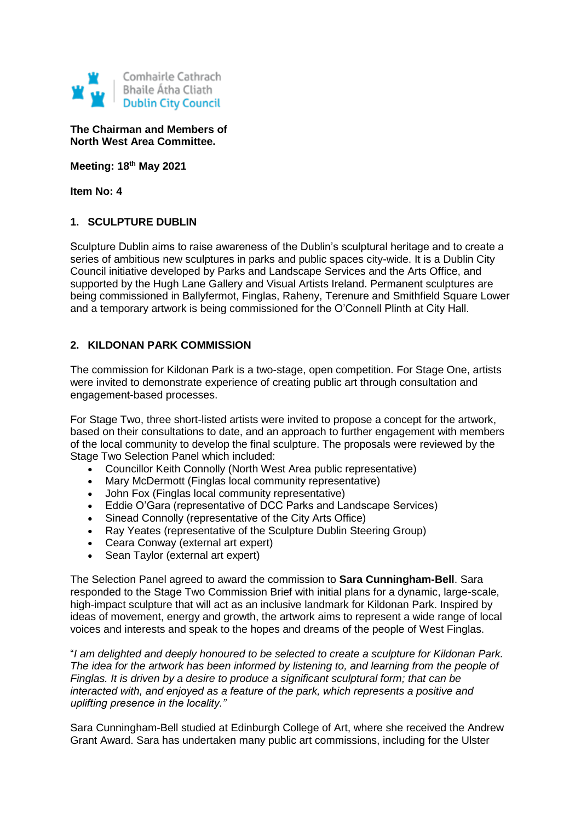

**The Chairman and Members of North West Area Committee.**

**Meeting: 18th May 2021**

**Item No: 4**

#### **1. SCULPTURE DUBLIN**

Sculpture Dublin aims to raise awareness of the Dublin's sculptural heritage and to create a series of ambitious new sculptures in parks and public spaces city-wide. It is a Dublin City Council initiative developed by Parks and Landscape Services and the Arts Office, and supported by the Hugh Lane Gallery and Visual Artists Ireland. Permanent sculptures are being commissioned in Ballyfermot, Finglas, Raheny, Terenure and Smithfield Square Lower and a temporary artwork is being commissioned for the O'Connell Plinth at City Hall.

### **2. KILDONAN PARK COMMISSION**

The commission for Kildonan Park is a two-stage, open competition. For Stage One, artists were invited to demonstrate experience of creating public art through consultation and engagement-based processes.

For Stage Two, three short-listed artists were invited to propose a concept for the artwork, based on their consultations to date, and an approach to further engagement with members of the local community to develop the final sculpture. The proposals were reviewed by the Stage Two Selection Panel which included:

- Councillor Keith Connolly (North West Area public representative)
- Mary McDermott (Finglas local community representative)
- John Fox (Finglas local community representative)
- Eddie O'Gara (representative of DCC Parks and Landscape Services)
- Sinead Connolly (representative of the City Arts Office)
- Ray Yeates (representative of the Sculpture Dublin Steering Group)
- Ceara Conway (external art expert)
- Sean Taylor (external art expert)

The Selection Panel agreed to award the commission to **Sara Cunningham-Bell**. Sara responded to the Stage Two Commission Brief with initial plans for a dynamic, large-scale, high-impact sculpture that will act as an inclusive landmark for Kildonan Park. Inspired by ideas of movement, energy and growth, the artwork aims to represent a wide range of local voices and interests and speak to the hopes and dreams of the people of West Finglas.

"*I am delighted and deeply honoured to be selected to create a sculpture for Kildonan Park. The idea for the artwork has been informed by listening to, and learning from the people of Finglas. It is driven by a desire to produce a significant sculptural form; that can be interacted with, and enjoyed as a feature of the park, which represents a positive and uplifting presence in the locality."*

Sara Cunningham-Bell studied at Edinburgh College of Art, where she received the Andrew Grant Award. Sara has undertaken many public art commissions, including for the Ulster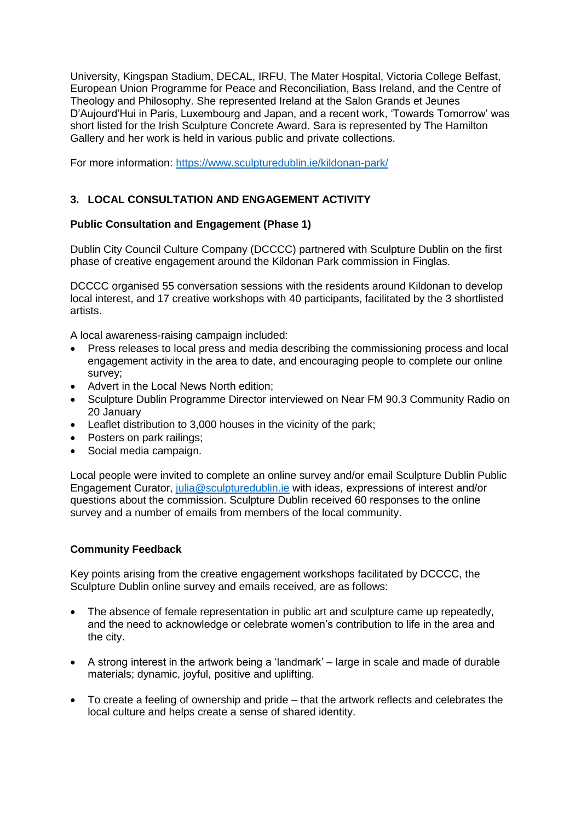University, Kingspan Stadium, DECAL, IRFU, The Mater Hospital, Victoria College Belfast, European Union Programme for Peace and Reconciliation, Bass Ireland, and the Centre of Theology and Philosophy. She represented Ireland at the Salon Grands et Jeunes D'Aujourd'Hui in Paris, Luxembourg and Japan, and a recent work, 'Towards Tomorrow' was short listed for the Irish Sculpture Concrete Award. Sara is represented by The Hamilton Gallery and her work is held in various public and private collections.

For more information:<https://www.sculpturedublin.ie/kildonan-park/>

# **3. LOCAL CONSULTATION AND ENGAGEMENT ACTIVITY**

## **Public Consultation and Engagement (Phase 1)**

Dublin City Council Culture Company (DCCCC) partnered with Sculpture Dublin on the first phase of creative engagement around the Kildonan Park commission in Finglas.

DCCCC organised 55 conversation sessions with the residents around Kildonan to develop local interest, and 17 creative workshops with 40 participants, facilitated by the 3 shortlisted artists.

A local awareness-raising campaign included:

- Press releases to local press and media describing the commissioning process and local engagement activity in the area to date, and encouraging people to complete our online survey;
- Advert in the Local News North edition;
- Sculpture Dublin Programme Director interviewed on Near FM 90.3 Community Radio on 20 January
- Leaflet distribution to 3,000 houses in the vicinity of the park;
- Posters on park railings;
- Social media campaign.

Local people were invited to complete an online survey and/or email Sculpture Dublin Public Engagement Curator, [julia@sculpturedublin.ie](mailto:julia@sculpturedublin.ie) with ideas, expressions of interest and/or questions about the commission. Sculpture Dublin received 60 responses to the online survey and a number of emails from members of the local community.

### **Community Feedback**

Key points arising from the creative engagement workshops facilitated by DCCCC, the Sculpture Dublin online survey and emails received, are as follows:

- The absence of female representation in public art and sculpture came up repeatedly, and the need to acknowledge or celebrate women's contribution to life in the area and the city.
- A strong interest in the artwork being a 'landmark' large in scale and made of durable materials; dynamic, joyful, positive and uplifting.
- To create a feeling of ownership and pride that the artwork reflects and celebrates the local culture and helps create a sense of shared identity.